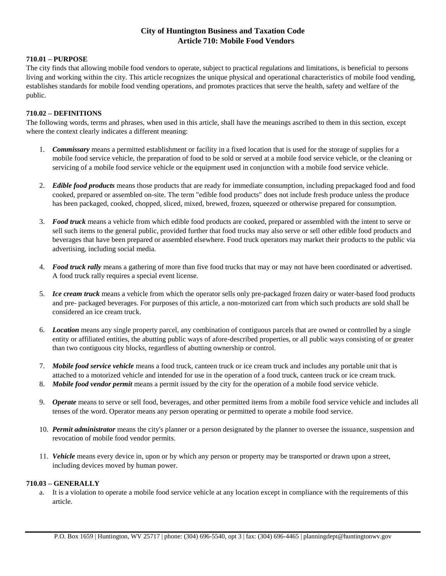# **City of Huntington Business and Taxation Code Article 710: Mobile Food Vendors**

#### **710.01 – PURPOSE**

The city finds that allowing mobile food vendors to operate, subject to practical regulations and limitations, is beneficial to persons living and working within the city. This article recognizes the unique physical and operational characteristics of mobile food vending, establishes standards for mobile food vending operations, and promotes practices that serve the health, safety and welfare of the public.

#### **710.02 – DEFINITIONS**

The following words, terms and phrases, when used in this article, shall have the meanings ascribed to them in this section, except where the context clearly indicates a different meaning:

- 1. *Commissary* means a permitted establishment or facility in a fixed location that is used for the storage of supplies for a mobile food service vehicle, the preparation of food to be sold or served at a mobile food service vehicle, or the cleaning or servicing of a mobile food service vehicle or the equipment used in conjunction with a mobile food service vehicle.
- 2. *Edible food products* means those products that are ready for immediate consumption, including prepackaged food and food cooked, prepared or assembled on-site. The term "edible food products" does not include fresh produce unless the produce has been packaged, cooked, chopped, sliced, mixed, brewed, frozen, squeezed or otherwise prepared for consumption.
- 3. *Food truck* means a vehicle from which edible food products are cooked, prepared or assembled with the intent to serve or sell such items to the general public, provided further that food trucks may also serve or sell other edible food products and beverages that have been prepared or assembled elsewhere. Food truck operators may market their products to the public via advertising, including social media.
- 4. *Food truck rally* means a gathering of more than five food trucks that may or may not have been coordinated or advertised. A food truck rally requires a special event license.
- 5. *Ice cream truck* means a vehicle from which the operator sells only pre-packaged frozen dairy or water-based food products and pre- packaged beverages. For purposes of this article, a non-motorized cart from which such products are sold shall be considered an ice cream truck.
- 6. *Location* means any single property parcel, any combination of contiguous parcels that are owned or controlled by a single entity or affiliated entities, the abutting public ways of afore-described properties, or all public ways consisting of or greater than two contiguous city blocks, regardless of abutting ownership or control.
- 7. *Mobile food service vehicle* means a food truck, canteen truck or ice cream truck and includes any portable unit that is attached to a motorized vehicle and intended for use in the operation of a food truck, canteen truck or ice cream truck.
- 8. *Mobile food vendor permit* means a permit issued by the city for the operation of a mobile food service vehicle.
- 9. *Operate* means to serve or sell food, beverages, and other permitted items from a mobile food service vehicle and includes all tenses of the word. Operator means any person operating or permitted to operate a mobile food service.
- 10. *Permit administrator* means the city's planner or a person designated by the planner to oversee the issuance, suspension and revocation of mobile food vendor permits.
- 11. *Vehicle* means every device in, upon or by which any person or property may be transported or drawn upon a street, including devices moved by human power.

#### **710.03 – GENERALLY**

a. It is a violation to operate a mobile food service vehicle at any location except in compliance with the requirements of this article.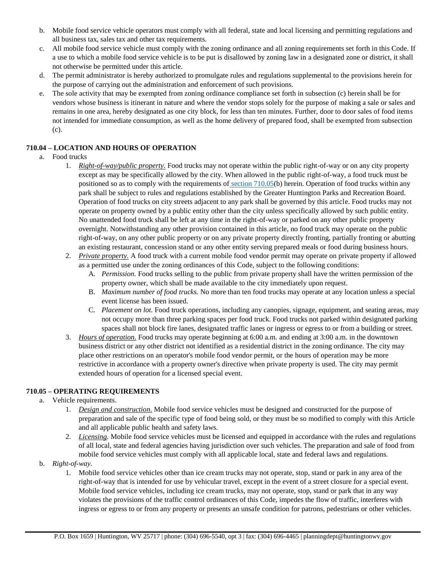- b. Mobile food service vehicle operators must comply with all federal, state and local licensing and permitting regulations and all business tax, sales tax and other tax requirements.
- c. All mobile food service vehicle must comply with the zoning ordinance and all zoning requirements set forth in this Code. If a use to which a mobile food service vehicle is to be put is disallowed by zoning law in a designated zone or district, it shall not otherwise be permitted under this article.
- d. The permit administrator is hereby authorized to promulgate rules and regulations supplemental to the provisions herein for the purpose of carrying out the administration and enforcement of such provisions.
- e. The sole activity that may be exempted from zoning ordinance compliance set forth in subsection (c) herein shall be for vendors whose business is itinerant in nature and where the vendor stops solely for the purpose of making a sale or sales and remains in one area, hereby designated as one city block, for less than ten minutes. Further, door to door sales of food items not intended for immediate consumption, as well as the home delivery of prepared food, shall be exempted from subsection (c).

## **710.04 – LOCATION AND HOURS OF OPERATION**

- a. Food trucks
	- 1. *Right-of-way/public property.* Food trucks may not operate within the public right-of-way or on any city property except as may be specifically allowed by the city. When allowed in the public right-of-way, a food truck must be positioned so as to comply with the requirements of section 710.05(b) herein. Operation of food trucks within any park shall be subject to rules and regulations established by the Greater Huntington Parks and Recreation Board. Operation of food trucks on city streets adjacent to any park shall be governed by this article. Food trucks may not operate on property owned by a public entity other than the city unless specifically allowed by such public entity. No unattended food truck shall be left at any time in the right-of-way or parked on any other public property overnight. Notwithstanding any other provision contained in this article, no food truck may operate on the public right-of-way, on any other public property or on any private property directly fronting, partially fronting or abutting an existing restaurant, concession stand or any other entity serving prepared meals or food during business hours.
	- 2. *Private property.* A food truck with a current mobile food vendor permit may operate on private property if allowed as a permitted use under the zoning ordinances of this Code, subject to the following conditions:
		- A. *Permission.* Food trucks selling to the public from private property shall have the written permission of the property owner, which shall be made available to the city immediately upon request.
		- B. *Maximum number of food trucks.* No more than ten food trucks may operate at any location unless a special event license has been issued.
		- C. *Placement on lot.* Food truck operations, including any canopies, signage, equipment, and seating areas, may not occupy more than three parking spaces per food truck. Food trucks not parked within designated parking spaces shall not block fire lanes, designated traffic lanes or ingress or egress to or from a building or street.
	- 3. *Hours of operation.* Food trucks may operate beginning at 6:00 a.m. and ending at 3:00 a.m. in the downtown business district or any other district not identified as a residential district in the zoning ordinance. The city may place other restrictions on an operator's mobile food vendor permit, or the hours of operation may be more restrictive in accordance with a property owner's directive when private property is used. The city may permit extended hours of operation for a licensed special event.

#### **710.05 – OPERATING REQUIREMENTS**

- a. Vehicle requirements.
	- 1. *Design and construction.* Mobile food service vehicles must be designed and constructed for the purpose of preparation and sale of the specific type of food being sold, or they must be so modified to comply with this Article and all applicable public health and safety laws.
	- 2. *Licensing.* Mobile food service vehicles must be licensed and equipped in accordance with the rules and regulations of all local, state and federal agencies having jurisdiction over such vehicles. The preparation and sale of food from mobile food service vehicles must comply with all applicable local, state and federal laws and regulations.
- b. *Right-of-way.*
	- 1. Mobile food service vehicles other than ice cream trucks may not operate, stop, stand or park in any area of the right-of-way that is intended for use by vehicular travel, except in the event of a street closure for a special event. Mobile food service vehicles, including ice cream trucks, may not operate, stop, stand or park that in any way violates the provisions of the traffic control ordinances of this Code, impedes the flow of traffic, interferes with ingress or egress to or from any property or presents an unsafe condition for patrons, pedestrians or other vehicles.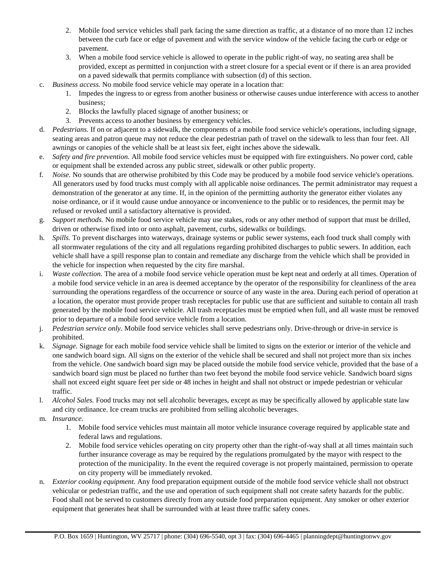- 2. Mobile food service vehicles shall park facing the same direction as traffic, at a distance of no more than 12 inches between the curb face or edge of pavement and with the service window of the vehicle facing the curb or edge or pavement.
- 3. When a mobile food service vehicle is allowed to operate in the public right-of way, no seating area shall be provided, except as permitted in conjunction with a street closure for a special event or if there is an area provided on a paved sidewalk that permits compliance with subsection (d) of this section.
- c. *Business access.* No mobile food service vehicle may operate in a location that:
	- 1. Impedes the ingress to or egress from another business or otherwise causes undue interference with access to another business;
	- 2. Blocks the lawfully placed signage of another business; or
	- 3. Prevents access to another business by emergency vehicles.
- d. *Pedestrians.* If on or adjacent to a sidewalk, the components of a mobile food service vehicle's operations, including signage, seating areas and patron queue may not reduce the clear pedestrian path of travel on the sidewalk to less than four feet. All awnings or canopies of the vehicle shall be at least six feet, eight inches above the sidewalk.
- e. *Safety and fire prevention.* All mobile food service vehicles must be equipped with fire extinguishers. No power cord, cable or equipment shall be extended across any public street, sidewalk or other public property.
- f. *Noise.* No sounds that are otherwise prohibited by this Code may be produced by a mobile food service vehicle's operations. All generators used by food trucks must comply with all applicable noise ordinances. The permit administrator may request a demonstration of the generator at any time. If, in the opinion of the permitting authority the generator either violates any noise ordinance, or if it would cause undue annoyance or inconvenience to the public or to residences, the permit may be refused or revoked until a satisfactory alternative is provided.
- g. *Support methods.* No mobile food service vehicle may use stakes, rods or any other method of support that must be drilled, driven or otherwise fixed into or onto asphalt, pavement, curbs, sidewalks or buildings.
- h. *Spills.* To prevent discharges into waterways, drainage systems or public sewer systems, each food truck shall comply with all stormwater regulations of the city and all regulations regarding prohibited discharges to public sewers. In addition, each vehicle shall have a spill response plan to contain and remediate any discharge from the vehicle which shall be provided in the vehicle for inspection when requested by the city fire marshal.
- i. *Waste collection.* The area of a mobile food service vehicle operation must be kept neat and orderly at all times. Operation of a mobile food service vehicle in an area is deemed acceptance by the operator of the responsibility for cleanliness of the area surrounding the operations regardless of the occurrence or source of any waste in the area. During each period of operation at a location, the operator must provide proper trash receptacles for public use that are sufficient and suitable to contain all trash generated by the mobile food service vehicle. All trash receptacles must be emptied when full, and all waste must be removed prior to departure of a mobile food service vehicle from a location.
- j. *Pedestrian service only.* Mobile food service vehicles shall serve pedestrians only. Drive-through or drive-in service is prohibited.
- k. *Signage.* Signage for each mobile food service vehicle shall be limited to signs on the exterior or interior of the vehicle and one sandwich board sign. All signs on the exterior of the vehicle shall be secured and shall not project more than six inches from the vehicle. One sandwich board sign may be placed outside the mobile food service vehicle, provided that the base of a sandwich board sign must be placed no further than two feet beyond the mobile food service vehicle. Sandwich board signs shall not exceed eight square feet per side or 48 inches in height and shall not obstruct or impede pedestrian or vehicular traffic.
- l. *Alcohol Sales.* Food trucks may not sell alcoholic beverages, except as may be specifically allowed by applicable state law and city ordinance. Ice cream trucks are prohibited from selling alcoholic beverages.
- m. *Insurance.*
	- 1. Mobile food service vehicles must maintain all motor vehicle insurance coverage required by applicable state and federal laws and regulations.
	- 2. Mobile food service vehicles operating on city property other than the right-of-way shall at all times maintain such further insurance coverage as may be required by the regulations promulgated by the mayor with respect to the protection of the municipality. In the event the required coverage is not properly maintained, permission to operate on city property will be immediately revoked.
- n. *Exterior cooking equipment.* Any food preparation equipment outside of the mobile food service vehicle shall not obstruct vehicular or pedestrian traffic, and the use and operation of such equipment shall not create safety hazards for the public. Food shall not be served to customers directly from any outside food preparation equipment. Any smoker or other exterior equipment that generates heat shall be surrounded with at least three traffic safety cones.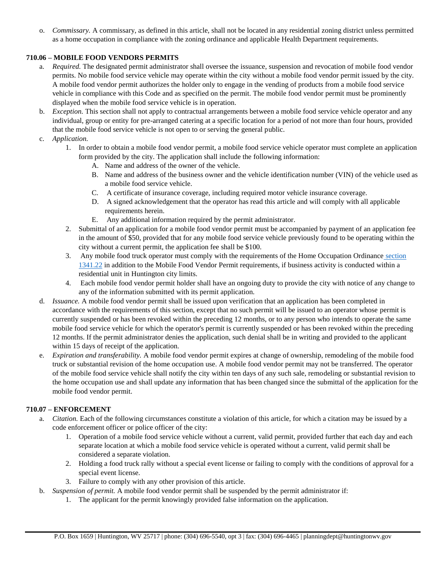o. *Commissary.* A commissary, as defined in this article, shall not be located in any residential zoning district unless permitted as a home occupation in compliance with the zoning ordinance and applicable Health Department requirements.

## **710.06 – MOBILE FOOD VENDORS PERMITS**

- a. *Required.* The designated permit administrator shall oversee the issuance, suspension and revocation of mobile food vendor permits. No mobile food service vehicle may operate within the city without a mobile food vendor permit issued by the city. A mobile food vendor permit authorizes the holder only to engage in the vending of products from a mobile food service vehicle in compliance with this Code and as specified on the permit. The mobile food vendor permit must be prominently displayed when the mobile food service vehicle is in operation.
- b. *Exception.* This section shall not apply to contractual arrangements between a mobile food service vehicle operator and any individual, group or entity for pre-arranged catering at a specific location for a period of not more than four hours, provided that the mobile food service vehicle is not open to or serving the general public.
- c. *Application.*
	- 1. In order to obtain a mobile food vendor permit, a mobile food service vehicle operator must complete an application form provided by the city. The application shall include the following information:
		- A. Name and address of the owner of the vehicle.
		- B. Name and address of the business owner and the vehicle identification number (VIN) of the vehicle used as a mobile food service vehicle.
		- C. A certificate of insurance coverage, including required motor vehicle insurance coverage.
		- D. A signed acknowledgement that the operator has read this article and will comply with all applicable requirements herein.
		- E. Any additional information required by the permit administrator.
	- 2. Submittal of an application for a mobile food vendor permit must be accompanied by payment of an application fee in the amount of \$50, provided that for any mobile food service vehicle previously found to be operating within the city without a current permit, the application fee shall be \$100.
	- 3. Any mobile food truck operator must comply with the requirements of the Home Occupation Ordinance section 1341.22 in addition to the Mobile Food Vendor Permit requirements, if business activity is conducted within a residential unit in Huntington city limits.
	- 4. Each mobile food vendor permit holder shall have an ongoing duty to provide the city with notice of any change to any of the information submitted with its permit application.
- d. *Issuance.* A mobile food vendor permit shall be issued upon verification that an application has been completed in accordance with the requirements of this section, except that no such permit will be issued to an operator whose permit is currently suspended or has been revoked within the preceding 12 months, or to any person who intends to operate the same mobile food service vehicle for which the operator's permit is currently suspended or has been revoked within the preceding 12 months. If the permit administrator denies the application, such denial shall be in writing and provided to the applicant within 15 days of receipt of the application.
- e. *Expiration and transferability.* A mobile food vendor permit expires at change of ownership, remodeling of the mobile food truck or substantial revision of the home occupation use. A mobile food vendor permit may not be transferred. The operator of the mobile food service vehicle shall notify the city within ten days of any such sale, remodeling or substantial revision to the home occupation use and shall update any information that has been changed since the submittal of the application for the mobile food vendor permit.

#### **710.07 – ENFORCEMENT**

- a. *Citation.* Each of the following circumstances constitute a violation of this article, for which a citation may be issued by a code enforcement officer or police officer of the city:
	- 1. Operation of a mobile food service vehicle without a current, valid permit, provided further that each day and each separate location at which a mobile food service vehicle is operated without a current, valid permit shall be considered a separate violation.
	- 2. Holding a food truck rally without a special event license or failing to comply with the conditions of approval for a special event license.
	- 3. Failure to comply with any other provision of this article.
- b. *Suspension of permit.* A mobile food vendor permit shall be suspended by the permit administrator if:
	- 1. The applicant for the permit knowingly provided false information on the application.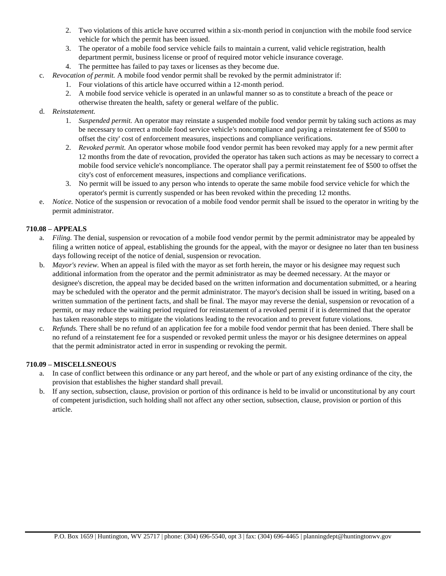- 2. Two violations of this article have occurred within a six-month period in conjunction with the mobile food service vehicle for which the permit has been issued.
- 3. The operator of a mobile food service vehicle fails to maintain a current, valid vehicle registration, health department permit, business license or proof of required motor vehicle insurance coverage.
- 4. The permittee has failed to pay taxes or licenses as they become due.
- c. *Revocation of permit.* A mobile food vendor permit shall be revoked by the permit administrator if:
	- 1. Four violations of this article have occurred within a 12-month period.
	- 2. A mobile food service vehicle is operated in an unlawful manner so as to constitute a breach of the peace or otherwise threaten the health, safety or general welfare of the public.

## d. *Reinstatement.*

- 1. *Suspended permit.* An operator may reinstate a suspended mobile food vendor permit by taking such actions as may be necessary to correct a mobile food service vehicle's noncompliance and paying a reinstatement fee of \$500 to offset the city' cost of enforcement measures, inspections and compliance verifications.
- 2. *Revoked permit.* An operator whose mobile food vendor permit has been revoked may apply for a new permit after 12 months from the date of revocation, provided the operator has taken such actions as may be necessary to correct a mobile food service vehicle's noncompliance. The operator shall pay a permit reinstatement fee of \$500 to offset the city's cost of enforcement measures, inspections and compliance verifications.
- 3. No permit will be issued to any person who intends to operate the same mobile food service vehicle for which the operator's permit is currently suspended or has been revoked within the preceding 12 months.
- e. *Notice.* Notice of the suspension or revocation of a mobile food vendor permit shall be issued to the operator in writing by the permit administrator.

## **710.08 – APPEALS**

- a. *Filing.* The denial, suspension or revocation of a mobile food vendor permit by the permit administrator may be appealed by filing a written notice of appeal, establishing the grounds for the appeal, with the mayor or designee no later than ten business days following receipt of the notice of denial, suspension or revocation.
- b. *Mayor's review.* When an appeal is filed with the mayor as set forth herein, the mayor or his designee may request such additional information from the operator and the permit administrator as may be deemed necessary. At the mayor or designee's discretion, the appeal may be decided based on the written information and documentation submitted, or a hearing may be scheduled with the operator and the permit administrator. The mayor's decision shall be issued in writing, based on a written summation of the pertinent facts, and shall be final. The mayor may reverse the denial, suspension or revocation of a permit, or may reduce the waiting period required for reinstatement of a revoked permit if it is determined that the operator has taken reasonable steps to mitigate the violations leading to the revocation and to prevent future violations.
- c. *Refunds.* There shall be no refund of an application fee for a mobile food vendor permit that has been denied. There shall be no refund of a reinstatement fee for a suspended or revoked permit unless the mayor or his designee determines on appeal that the permit administrator acted in error in suspending or revoking the permit.

#### **710.09 – MISCELLSNEOUS**

- a. In case of conflict between this ordinance or any part hereof, and the whole or part of any existing ordinance of the city, the provision that establishes the higher standard shall prevail.
- b. If any section, subsection, clause, provision or portion of this ordinance is held to be invalid or unconstitutional by any court of competent jurisdiction, such holding shall not affect any other section, subsection, clause, provision or portion of this article.